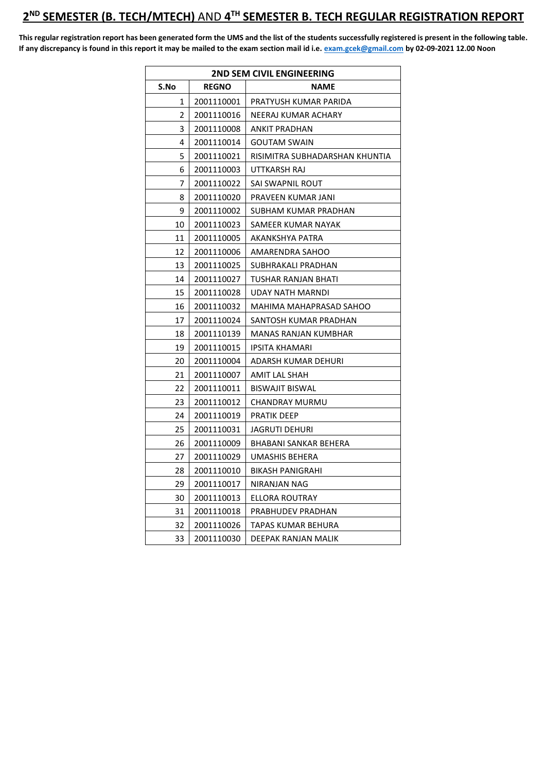## **ND SEMESTER (B. TECH/MTECH)** AND **4 TH SEMESTER B. TECH REGULAR REGISTRATION REPORT**

**This regular registration report has been generated form the UMS and the list of the students successfully registered is present in the following table. If any discrepancy is found in this report it may be mailed to the exam section mail id i.e[. exam.gcek@gmail.com](mailto:exam.gcek@gmail.com) by 02-09-2021 12.00 Noon** 

| <b>2ND SEM CIVIL ENGINEERING</b> |              |                                |
|----------------------------------|--------------|--------------------------------|
| S.No                             | <b>REGNO</b> | <b>NAME</b>                    |
| 1                                | 2001110001   | PRATYUSH KUMAR PARIDA          |
| $\overline{2}$                   | 2001110016   | NEERAJ KUMAR ACHARY            |
| 3                                | 2001110008   | ANKIT PRADHAN                  |
| 4                                | 2001110014   | <b>GOUTAM SWAIN</b>            |
| 5                                | 2001110021   | RISIMITRA SUBHADARSHAN KHUNTIA |
| 6                                | 2001110003   | UTTKARSH RAJ                   |
| 7                                | 2001110022   | SAI SWAPNIL ROUT               |
| 8                                | 2001110020   | PRAVEEN KUMAR JANI             |
| 9                                | 2001110002   | SUBHAM KUMAR PRADHAN           |
| 10                               | 2001110023   | SAMEER KUMAR NAYAK             |
| 11                               | 2001110005   | AKANKSHYA PATRA                |
| 12                               | 2001110006   | AMARENDRA SAHOO                |
| 13                               | 2001110025   | SUBHRAKALI PRADHAN             |
| 14                               | 2001110027   | TUSHAR RANJAN BHATI            |
| 15                               | 2001110028   | UDAY NATH MARNDI               |
| 16                               | 2001110032   | MAHIMA MAHAPRASAD SAHOO        |
| 17                               | 2001110024   | SANTOSH KUMAR PRADHAN          |
| 18                               | 2001110139   | MANAS RANJAN KUMBHAR           |
| 19                               | 2001110015   | IPSITA KHAMARI                 |
| 20                               | 2001110004   | ADARSH KUMAR DEHURI            |
| 21                               | 2001110007   | AMIT LAL SHAH                  |
| 22                               | 2001110011   | <b>BISWAJIT BISWAL</b>         |
| 23                               | 2001110012   | CHANDRAY MURMU                 |
| 24                               | 2001110019   | PRATIK DEEP                    |
| 25                               | 2001110031   | JAGRUTI DEHURI                 |
| 26                               | 2001110009   | BHABANI SANKAR BEHERA          |
| 27                               | 2001110029   | UMASHIS BEHERA                 |
| 28                               | 2001110010   | BIKASH PANIGRAHI               |
| 29                               | 2001110017   | NIRANJAN NAG                   |
| 30                               | 2001110013   | ELLORA ROUTRAY                 |
| 31                               | 2001110018   | PRABHUDEV PRADHAN              |
| 32                               | 2001110026   | TAPAS KUMAR BEHURA             |
| 33                               | 2001110030   | DEEPAK RANJAN MALIK            |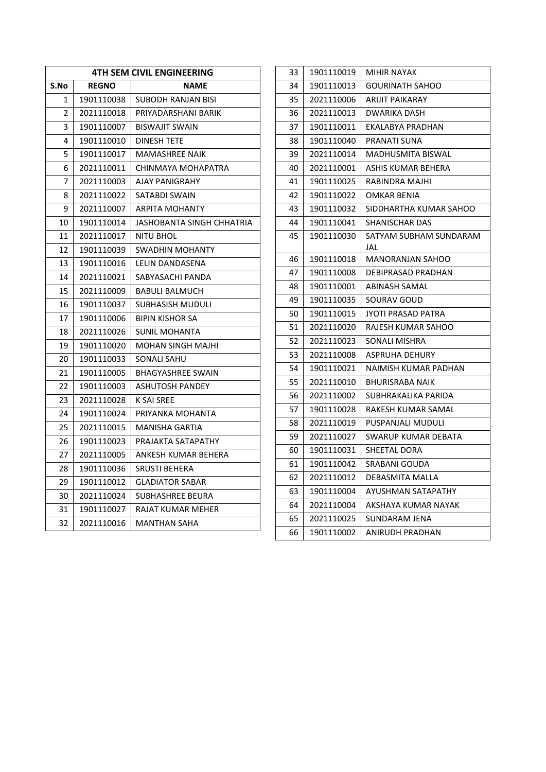| <b>4TH SEM CIVIL ENGINEERING</b> |              |                           |
|----------------------------------|--------------|---------------------------|
| S.No                             | <b>REGNO</b> | NAME                      |
| 1                                | 1901110038   | SUBODH RANJAN BISI        |
| 2                                | 2021110018   | PRIYADARSHANI BARIK       |
| 3                                | 1901110007   | <b>BISWAJIT SWAIN</b>     |
| 4                                | 1901110010   | <b>DINESH TETE</b>        |
| 5                                | 1901110017   | MAMASHREE NAIK            |
| 6                                | 2021110011   | CHINMAYA MOHAPATRA        |
| 7                                | 2021110003   | <b>AJAY PANIGRAHY</b>     |
| 8                                | 2021110022   | SATABDI SWAIN             |
| 9                                | 2021110007   | ARPITA MOHANTY            |
| 10                               | 1901110014   | JASHOBANTA SINGH CHHATRIA |
| 11                               | 2021110017   | NITU BHOL                 |
| 12                               | 1901110039   | <b>SWADHIN MOHANTY</b>    |
| 13                               | 1901110016   | LELIN DANDASENA           |
| 14                               | 2021110021   | SABYASACHI PANDA          |
| 15                               | 2021110009   | <b>BABULI BALMUCH</b>     |
| 16                               | 1901110037   | SUBHASISH MUDULI          |
| 17                               | 1901110006   | BIPIN KISHOR SA           |
| 18                               | 2021110026   | <b>SUNIL MOHANTA</b>      |
| 19                               | 1901110020   | MOHAN SINGH MAJHI         |
| 20                               | 1901110033   | SONALI SAHU               |
| 21                               | 1901110005   | <b>BHAGYASHREE SWAIN</b>  |
| 22                               | 1901110003   | <b>ASHUTOSH PANDEY</b>    |
| 23                               | 2021110028   | K SAI SREE                |
| 24                               | 1901110024   | PRIYANKA MOHANTA          |
| 25                               | 2021110015   | MANISHA GARTIA            |
| 26                               | 1901110023   | PRAJAKTA SATAPATHY        |
| 27                               | 2021110005   | ANKESH KUMAR BEHERA       |
| 28                               | 1901110036   | <b>SRUSTI BEHERA</b>      |
| 29                               | 1901110012   | <b>GLADIATOR SABAR</b>    |
| 30                               | 2021110024   | <b>SUBHASHREE BEURA</b>   |
| 31                               | 1901110027   | RAJAT KUMAR MEHER         |
| 32                               | 2021110016   | MANTHAN SAHA              |

| 33 | 1901110019 | MIHIR NAYAK                |
|----|------------|----------------------------|
| 34 | 1901110013 | <b>GOURINATH SAHOO</b>     |
| 35 | 2021110006 | <b>ARIJIT PAIKARAY</b>     |
| 36 | 2021110013 | DWARIKA DASH               |
| 37 | 1901110011 | EKALABYA PRADHAN           |
| 38 | 1901110040 | PRANATI SUNA               |
| 39 | 2021110014 | MADHUSMITA BISWAL          |
| 40 | 2021110001 | ASHIS KUMAR BEHERA         |
| 41 | 1901110025 | RABINDRA MAJHI             |
| 42 | 1901110022 | OMKAR BENIA                |
| 43 | 1901110032 | SIDDHARTHA KUMAR SAHOO     |
| 44 | 1901110041 | SHANISCHAR DAS             |
| 45 | 1901110030 | SATYAM SUBHAM SUNDARAM     |
|    |            | JAL                        |
| 46 | 1901110018 | <b>MANORANJAN SAHOO</b>    |
| 47 | 1901110008 | <b>DEBIPRASAD PRADHAN</b>  |
| 48 | 1901110001 | ABINASH SAMAL              |
| 49 | 1901110035 | SOURAV GOUD                |
| 50 | 1901110015 | JYOTI PRASAD PATRA         |
| 51 | 2021110020 | RAJESH KUMAR SAHOO         |
| 52 | 2021110023 | SONALI MISHRA              |
| 53 | 2021110008 | <b>ASPRUHA DEHURY</b>      |
| 54 | 1901110021 | NAIMISH KUMAR PADHAN       |
| 55 | 2021110010 | BHURISRABA NAIK            |
| 56 | 2021110002 | SUBHRAKALIKA PARIDA        |
| 57 | 1901110028 | RAKESH KUMAR SAMAL         |
| 58 | 2021110019 | PUSPANJALI MUDULI          |
| 59 | 2021110027 | <b>SWARUP KUMAR DEBATA</b> |
| 60 | 1901110031 | SHEETAL DORA               |
| 61 | 1901110042 | SRABANI GOUDA              |
| 62 | 2021110012 | DEBASMITA MALLA            |
| 63 | 1901110004 | AYUSHMAN SATAPATHY         |
| 64 | 2021110004 | AKSHAYA KUMAR NAYAK        |
| 65 | 2021110025 | SUNDARAM JENA              |
| 66 | 1901110002 | <b>ANIRUDH PRADHAN</b>     |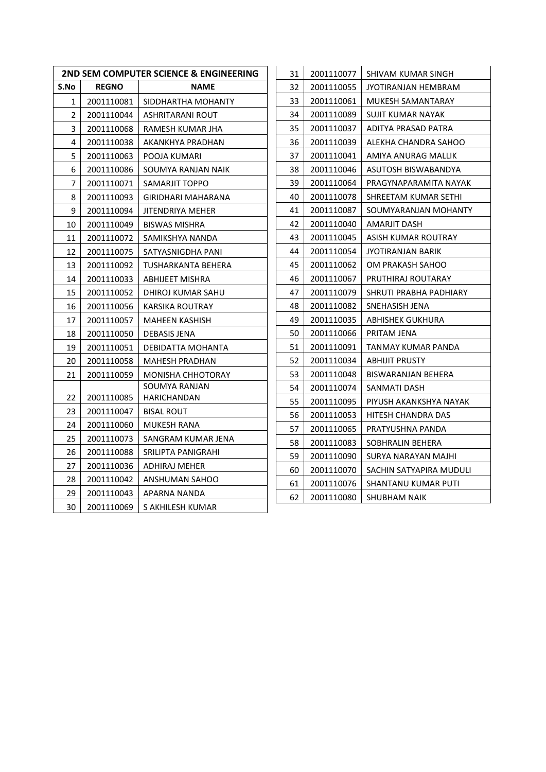| <b>2ND SEM COMPUTER SCIENCE &amp; ENGINEERING</b><br>31 |              |                          |    | 200111 |
|---------------------------------------------------------|--------------|--------------------------|----|--------|
| S.No                                                    | <b>REGNO</b> | <b>NAME</b>              | 32 | 200111 |
| $\mathbf{1}$                                            | 2001110081   | SIDDHARTHA MOHANTY       | 33 | 200111 |
| $\overline{2}$                                          | 2001110044   | ASHRITARANI ROUT         | 34 | 200111 |
| 3                                                       | 2001110068   | RAMESH KUMAR JHA         | 35 | 200111 |
| 4                                                       | 2001110038   | AKANKHYA PRADHAN         | 36 | 200111 |
| 5                                                       | 2001110063   | POOJA KUMARI             | 37 | 200111 |
| 6                                                       | 2001110086   | SOUMYA RANJAN NAIK       | 38 | 200111 |
| 7                                                       | 2001110071   | SAMARJIT TOPPO           | 39 | 200111 |
| 8                                                       | 2001110093   | GIRIDHARI MAHARANA       | 40 | 200111 |
| 9                                                       | 2001110094   | JITENDRIYA MEHER         | 41 | 200111 |
| 10                                                      | 2001110049   | <b>BISWAS MISHRA</b>     | 42 | 200111 |
| 11                                                      | 2001110072   | SAMIKSHYA NANDA          | 43 | 200111 |
| 12                                                      | 2001110075   | SATYASNIGDHA PANI        | 44 | 200111 |
| 13                                                      | 2001110092   | TUSHARKANTA BEHERA       | 45 | 200111 |
| 14                                                      | 2001110033   | ABHIJEET MISHRA          | 46 | 200111 |
| 15                                                      | 2001110052   | DHIROJ KUMAR SAHU        | 47 | 200111 |
| 16                                                      | 2001110056   | KARSIKA ROUTRAY          | 48 | 200111 |
| 17                                                      | 2001110057   | <b>MAHEEN KASHISH</b>    | 49 | 200111 |
| 18                                                      | 2001110050   | <b>DEBASIS JENA</b>      | 50 | 200111 |
| 19                                                      | 2001110051   | DEBIDATTA MOHANTA        | 51 | 200111 |
| 20                                                      | 2001110058   | <b>MAHESH PRADHAN</b>    | 52 | 200111 |
| 21                                                      | 2001110059   | <b>MONISHA CHHOTORAY</b> | 53 | 200111 |
|                                                         |              | SOUMYA RANJAN            | 54 | 200111 |
| 22                                                      | 2001110085   | HARICHANDAN              | 55 | 200111 |
| 23                                                      | 2001110047   | <b>BISAL ROUT</b>        | 56 | 200111 |
| 24                                                      | 2001110060   | MUKESH RANA              | 57 | 200111 |
| 25                                                      | 2001110073   | SANGRAM KUMAR JENA       | 58 | 200111 |
| 26                                                      | 2001110088   | SRILIPTA PANIGRAHI       | 59 | 200111 |
| 27                                                      | 2001110036   | ADHIRAJ MEHER            | 60 | 200111 |
| 28                                                      | 2001110042   | ANSHUMAN SAHOO           | 61 | 200111 |
| 29                                                      | 2001110043   | APARNA NANDA             | 62 | 200111 |
| 30                                                      | 2001110069   | S AKHILESH KUMAR         |    |        |

| 31 | 2001110077 | SHIVAM KUMAR SINGH      |
|----|------------|-------------------------|
| 32 | 2001110055 | JYOTIRANJAN HEMBRAM     |
| 33 | 2001110061 | MUKESH SAMANTARAY       |
| 34 | 2001110089 | SUJIT KUMAR NAYAK       |
| 35 | 2001110037 | ADITYA PRASAD PATRA     |
| 36 | 2001110039 | ALEKHA CHANDRA SAHOO    |
| 37 | 2001110041 | AMIYA ANURAG MALLIK     |
| 38 | 2001110046 | ASUTOSH BISWABANDYA     |
| 39 | 2001110064 | PRAGYNAPARAMITA NAYAK   |
| 40 | 2001110078 | SHREETAM KUMAR SETHI    |
| 41 | 2001110087 | SOUMYARANJAN MOHANTY    |
| 42 | 2001110040 | AMARJIT DASH            |
| 43 | 2001110045 | ASISH KUMAR ROUTRAY     |
| 44 | 2001110054 | JYOTIRANJAN BARIK       |
| 45 | 2001110062 | OM PRAKASH SAHOO        |
| 46 | 2001110067 | PRUTHIRAJ ROUTARAY      |
| 47 | 2001110079 | SHRUTI PRABHA PADHIARY  |
| 48 | 2001110082 | SNEHASISH JENA          |
| 49 | 2001110035 | ABHISHEK GUKHURA        |
| 50 | 2001110066 | PRITAM JENA             |
| 51 | 2001110091 | TANMAY KUMAR PANDA      |
| 52 | 2001110034 | <b>ABHIJIT PRUSTY</b>   |
| 53 | 2001110048 | BISWARANJAN BEHERA      |
| 54 | 2001110074 | SANMATI DASH            |
| 55 | 2001110095 | PIYUSH AKANKSHYA NAYAK  |
| 56 | 2001110053 | HITESH CHANDRA DAS      |
| 57 | 2001110065 | PRATYUSHNA PANDA        |
| 58 | 2001110083 | SOBHRALIN BEHERA        |
| 59 | 2001110090 | SURYA NARAYAN MAJHI     |
| 60 | 2001110070 | SACHIN SATYAPIRA MUDULI |
| 61 | 2001110076 | SHANTANU KUMAR PUTI     |
| 62 | 2001110080 | SHUBHAM NAIK            |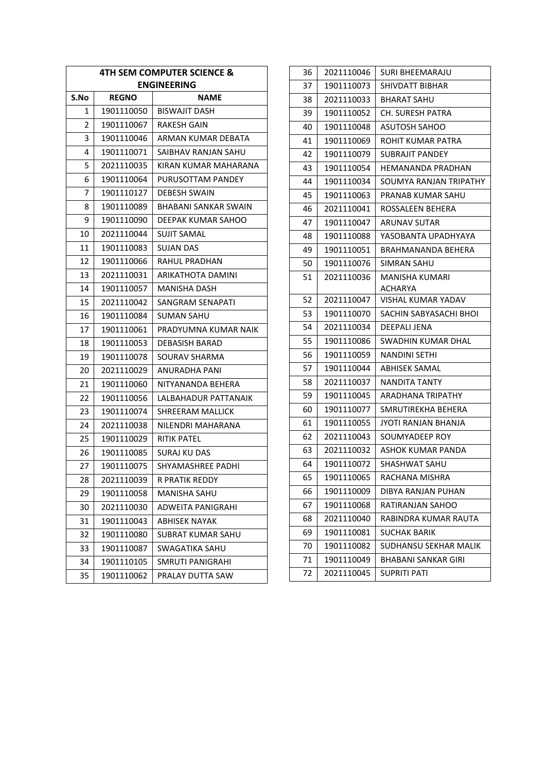| 4TH SEM COMPUTER SCIENCE & |              |                          |
|----------------------------|--------------|--------------------------|
|                            |              | <b>ENGINEERING</b>       |
| S.No                       | <b>REGNO</b> | NAME                     |
| 1                          | 1901110050   | <b>BISWAJIT DASH</b>     |
| 2                          | 1901110067   | <b>RAKESH GAIN</b>       |
| 3                          | 1901110046   | ARMAN KUMAR DEBATA       |
| 4                          | 1901110071   | SAIBHAV RANJAN SAHU      |
| 5                          | 2021110035   | KIRAN KUMAR MAHARANA     |
| 6                          | 1901110064   | PURUSOTTAM PANDEY        |
| 7                          | 1901110127   | <b>DEBESH SWAIN</b>      |
| 8                          | 1901110089   | BHABANI SANKAR SWAIN     |
| 9                          | 1901110090   | DEEPAK KUMAR SAHOO       |
| 10                         | 2021110044   | SUJIT SAMAL              |
| 11                         | 1901110083   | <b>SUJAN DAS</b>         |
| 12                         | 1901110066   | RAHUL PRADHAN            |
| 13                         | 2021110031   | ARIKATHOTA DAMINI        |
| 14                         | 1901110057   | <b>MANISHA DASH</b>      |
| 15                         | 2021110042   | SANGRAM SENAPATI         |
| 16                         | 1901110084   | SUMAN SAHU               |
| 17                         | 1901110061   | PRADYUMNA KUMAR NAIK     |
| 18                         | 1901110053   | <b>DEBASISH BARAD</b>    |
| 19                         | 1901110078   | SOURAV SHARMA            |
| 20                         | 2021110029   | ANURADHA PANI            |
| 21                         | 1901110060   | NITYANANDA BEHERA        |
| 22                         | 1901110056   | LALBAHADUR PATTANAIK     |
| 23                         | 1901110074   | SHREERAM MALLICK         |
| 24                         | 2021110038   | NILENDRI MAHARANA        |
| 25                         | 1901110029   | <b>RITIK PATEL</b>       |
| 26                         | 1901110085   | SURAJ KU DAS             |
| 27                         | 1901110075   | <b>SHYAMASHREE PADHI</b> |
| 28                         | 2021110039   | <b>R PRATIK REDDY</b>    |
| 29                         | 1901110058   | <b>MANISHA SAHU</b>      |
| 30                         | 2021110030   | ADWEITA PANIGRAHI        |
| 31                         | 1901110043   | <b>ABHISEK NAYAK</b>     |
| 32                         | 1901110080   | <b>SUBRAT KUMAR SAHU</b> |
| 33                         | 1901110087   | SWAGATIKA SAHU           |
| 34                         | 1901110105   | SMRUTI PANIGRAHI         |
| 35                         | 1901110062   | PRALAY DUTTA SAW         |

| 36 | 2021110046 | SURI BHEEMARAJU            |
|----|------------|----------------------------|
| 37 | 1901110073 | SHIVDATT BIBHAR            |
| 38 | 2021110033 | <b>BHARAT SAHU</b>         |
| 39 | 1901110052 | CH. SURESH PATRA           |
| 40 | 1901110048 | ASUTOSH SAHOO              |
| 41 | 1901110069 | ROHIT KUMAR PATRA          |
| 42 | 1901110079 | <b>SUBRAJIT PANDEY</b>     |
| 43 | 1901110054 | HEMANANDA PRADHAN          |
| 44 | 1901110034 | SOUMYA RANJAN TRIPATHY     |
| 45 | 1901110063 | PRANAB KUMAR SAHU          |
| 46 | 2021110041 | ROSSALEEN BEHERA           |
| 47 | 1901110047 | ARUNAV SUTAR               |
| 48 | 1901110088 | YASOBANTA UPADHYAYA        |
| 49 | 1901110051 | BRAHMANANDA BEHERA         |
| 50 | 1901110076 | SIMRAN SAHU                |
| 51 | 2021110036 | MANISHA KUMARI             |
|    |            | ACHARYA                    |
| 52 | 2021110047 | <b>VISHAL KUMAR YADAV</b>  |
| 53 | 1901110070 | SACHIN SABYASACHI BHOI     |
| 54 | 2021110034 | DEEPALI JENA               |
| 55 | 1901110086 | SWADHIN KUMAR DHAL         |
| 56 | 1901110059 | NANDINI SETHI              |
| 57 | 1901110044 | ABHISEK SAMAL              |
| 58 | 2021110037 | <b>NANDITA TANTY</b>       |
| 59 | 1901110045 | ARADHANA TRIPATHY          |
| 60 | 1901110077 | SMRUTIREKHA BEHERA         |
| 61 | 1901110055 | JYOTI RANJAN BHANJA        |
| 62 | 2021110043 | SOUMYADEEP ROY             |
| 63 | 2021110032 | ASHOK KUMAR PANDA          |
| 64 | 1901110072 | SHASHWAT SAHU              |
| 65 | 1901110065 | RACHANA MISHRA             |
| 66 | 1901110009 | DIBYA RANJAN PUHAN         |
| 67 | 1901110068 | RATIRANJAN SAHOO           |
| 68 | 2021110040 | RABINDRA KUMAR RAUTA       |
| 69 | 1901110081 | <b>SUCHAK BARIK</b>        |
| 70 | 1901110082 | SUDHANSU SEKHAR MALIK      |
| 71 | 1901110049 | <b>BHABANI SANKAR GIRI</b> |
| 72 | 2021110045 | <b>SUPRITI PATI</b>        |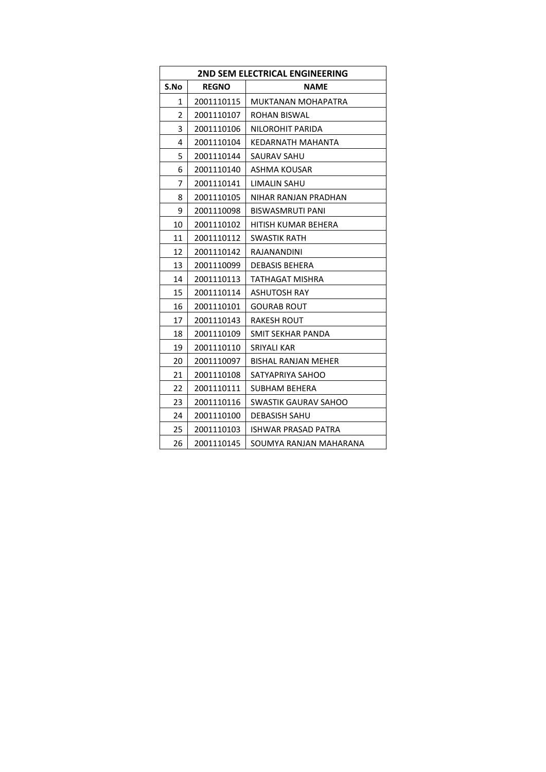| 2ND SEM ELECTRICAL ENGINEERING |              |                             |
|--------------------------------|--------------|-----------------------------|
| S.No                           | <b>REGNO</b> | <b>NAME</b>                 |
| $\mathbf{1}$                   | 2001110115   | MUKTANAN MOHAPATRA          |
| 2                              | 2001110107   | ROHAN BISWAL                |
| 3                              | 2001110106   | NILOROHIT PARIDA            |
| 4                              | 2001110104   | KEDARNATH MAHANTA           |
| 5                              | 2001110144   | SAURAV SAHU                 |
| 6                              | 2001110140   | ASHMA KOUSAR                |
| 7                              | 2001110141   | LIMALIN SAHU                |
| 8                              | 2001110105   | NIHAR RANJAN PRADHAN        |
| 9                              | 2001110098   | BISWASMRUTI PANI            |
| 10                             | 2001110102   | HITISH KUMAR BEHERA         |
| 11                             | 2001110112   | SWASTIK RATH                |
| 12                             | 2001110142   | <b>RAJANANDINI</b>          |
| 13                             | 2001110099   | <b>DEBASIS BEHERA</b>       |
| 14                             | 2001110113   | TATHAGAT MISHRA             |
| 15                             | 2001110114   | <b>ASHUTOSH RAY</b>         |
| 16                             | 2001110101   | <b>GOURAB ROUT</b>          |
| 17                             | 2001110143   | RAKESH ROUT                 |
| 18                             | 2001110109   | SMIT SEKHAR PANDA           |
| 19                             | 2001110110   | <b>SRIYALI KAR</b>          |
| 20                             | 2001110097   | <b>BISHAL RANJAN MEHER</b>  |
| 21                             | 2001110108   | SATYAPRIYA SAHOO            |
| 22                             | 2001110111   | SUBHAM BEHERA               |
| 23                             | 2001110116   | <b>SWASTIK GAURAV SAHOO</b> |
| 24                             | 2001110100   | <b>DEBASISH SAHU</b>        |
| 25                             | 2001110103   | ISHWAR PRASAD PATRA         |
| 26                             | 2001110145   | SOUMYA RANJAN MAHARANA      |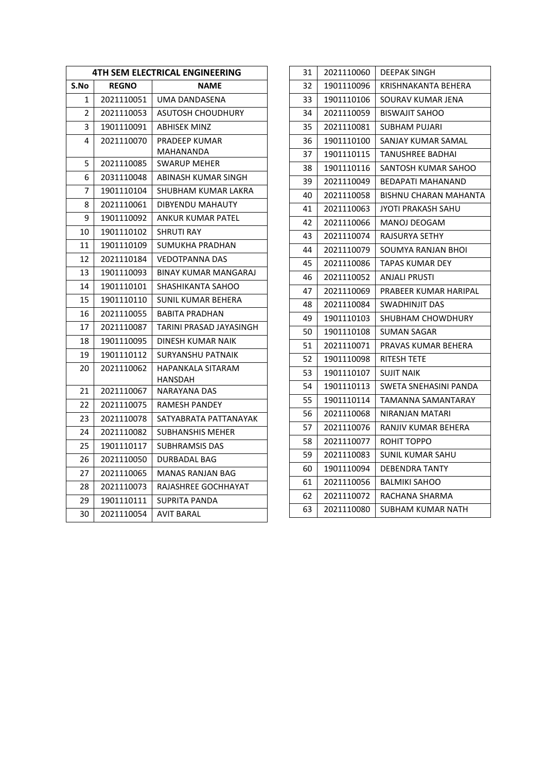| <b>4TH SEM ELECTRICAL ENGINEERING</b> |              |                             | 31 | 20211100 |
|---------------------------------------|--------------|-----------------------------|----|----------|
| S.No                                  | <b>REGNO</b> | <b>NAME</b>                 | 32 | 19011100 |
| 1                                     | 2021110051   | UMA DANDASENA               | 33 | 19011101 |
| $\overline{2}$                        | 2021110053   | ASUTOSH CHOUDHURY           | 34 | 20211100 |
| 3                                     | 1901110091   | ABHISEK MINZ                | 35 | 20211100 |
| 4                                     | 2021110070   | PRADEEP KUMAR               | 36 | 19011101 |
|                                       |              | MAHANANDA                   | 37 | 19011101 |
| 5                                     | 2021110085   | <b>SWARUP MEHER</b>         | 38 | 19011101 |
| 6                                     | 2031110048   | ABINASH KUMAR SINGH         | 39 | 20211100 |
| $\overline{7}$                        | 1901110104   | SHUBHAM KUMAR LAKRA         | 40 | 20211100 |
| 8                                     | 2021110061   | DIBYENDU MAHAUTY            | 41 | 20211100 |
| 9                                     | 1901110092   | ANKUR KUMAR PATEL           | 42 | 20211100 |
| 10                                    | 1901110102   | <b>SHRUTI RAY</b>           | 43 | 20211100 |
| 11                                    | 1901110109   | SUMUKHA PRADHAN             | 44 | 20211100 |
| 12                                    | 2021110184   | <b>VEDOTPANNA DAS</b>       | 45 | 20211100 |
| 13                                    | 1901110093   | <b>BINAY KUMAR MANGARAJ</b> | 46 | 20211100 |
| 14                                    | 1901110101   | SHASHIKANTA SAHOO           | 47 | 20211100 |
| 15                                    | 1901110110   | SUNIL KUMAR BEHERA          | 48 | 20211100 |
| 16                                    | 2021110055   | <b>BABITA PRADHAN</b>       | 49 | 19011101 |
| 17                                    | 2021110087   | TARINI PRASAD JAYASINGH     | 50 | 19011101 |
| 18                                    | 1901110095   | <b>DINESH KUMAR NAIK</b>    | 51 | 20211100 |
| 19                                    | 1901110112   | <b>SURYANSHU PATNAIK</b>    | 52 | 19011100 |
| 20                                    | 2021110062   | HAPANKALA SITARAM           | 53 | 19011101 |
|                                       |              | HANSDAH                     | 54 | 19011101 |
| 21                                    | 2021110067   | <b>NARAYANA DAS</b>         | 55 | 19011101 |
| 22                                    | 2021110075   | RAMESH PANDEY               | 56 | 20211100 |
| 23                                    | 2021110078   | SATYABRATA PATTANAYAK       | 57 | 20211100 |
| 24                                    | 2021110082   | <b>SUBHANSHIS MEHER</b>     | 58 | 20211100 |
| 25                                    | 1901110117   | <b>SUBHRAMSIS DAS</b>       | 59 | 20211100 |
| 26                                    | 2021110050   | DURBADAL BAG                | 60 | 19011100 |
| 27                                    | 2021110065   | <b>MANAS RANJAN BAG</b>     | 61 | 20211100 |
| 28                                    | 2021110073   | RAJASHREE GOCHHAYAT         | 62 | 20211100 |
| 29                                    | 1901110111   | SUPRITA PANDA               | 63 | 20211100 |
| 30                                    | 2021110054   | <b>AVIT BARAL</b>           |    |          |

| 31 | 2021110060 | DEEPAK SINGH             |
|----|------------|--------------------------|
| 32 | 1901110096 | KRISHNAKANTA BEHERA      |
| 33 | 1901110106 | SOURAV KUMAR JENA        |
| 34 | 2021110059 | <b>BISWAJIT SAHOO</b>    |
| 35 | 2021110081 | SUBHAM PUJARI            |
| 36 | 1901110100 | SANJAY KUMAR SAMAL       |
| 37 | 1901110115 | TANUSHREE BADHAI         |
| 38 | 1901110116 | SANTOSH KUMAR SAHOO      |
| 39 | 2021110049 | <b>BEDAPATI MAHANAND</b> |
| 40 | 2021110058 | BISHNU CHARAN MAHANTA    |
| 41 | 2021110063 | JYOTI PRAKASH SAHU       |
| 42 | 2021110066 | MANOJ DEOGAM             |
| 43 | 2021110074 | RAJSURYA SETHY           |
| 44 | 2021110079 | SOUMYA RANJAN BHOI       |
| 45 | 2021110086 | TAPAS KUMAR DEY          |
| 46 | 2021110052 | ANJALI PRUSTI            |
| 47 | 2021110069 | PRABEER KUMAR HARIPAL    |
| 48 | 2021110084 | SWADHINJIT DAS           |
| 49 | 1901110103 | SHUBHAM CHOWDHURY        |
| 50 | 1901110108 | SUMAN SAGAR              |
| 51 | 2021110071 | PRAVAS KUMAR BEHERA      |
| 52 | 1901110098 | RITESH TETE              |
| 53 | 1901110107 | <b>SUJIT NAIK</b>        |
| 54 | 1901110113 | SWETA SNEHASINI PANDA    |
| 55 | 1901110114 | TAMANNA SAMANTARAY       |
| 56 | 2021110068 | NIRANJAN MATARI          |
| 57 | 2021110076 | RANJIV KUMAR BEHERA      |
| 58 | 2021110077 | ROHIT TOPPO              |
| 59 | 2021110083 | SUNIL KUMAR SAHU         |
| 60 | 1901110094 | <b>DEBENDRA TANTY</b>    |
| 61 | 2021110056 | <b>BALMIKI SAHOO</b>     |
| 62 | 2021110072 | RACHANA SHARMA           |
| 63 | 2021110080 | SUBHAM KUMAR NATH        |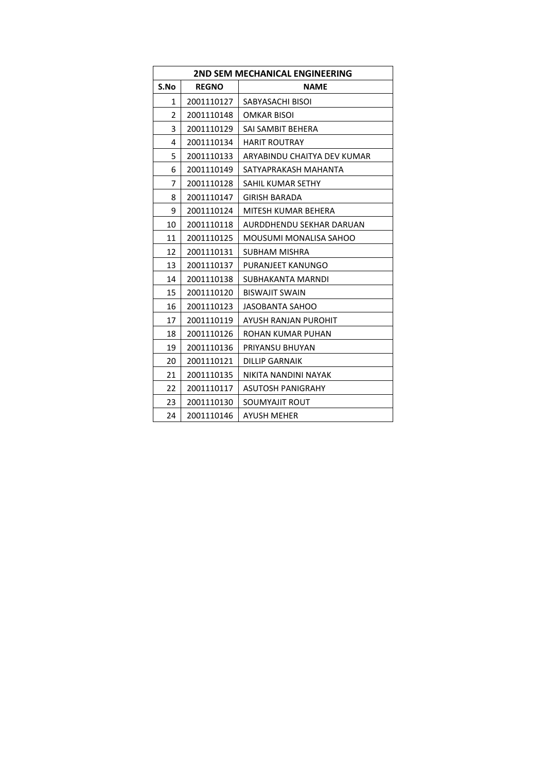| <b>2ND SEM MECHANICAL ENGINEERING</b> |              |                             |
|---------------------------------------|--------------|-----------------------------|
| S.No                                  | <b>REGNO</b> | <b>NAME</b>                 |
| 1                                     | 2001110127   | SABYASACHI BISOI            |
| 2                                     | 2001110148   | OMKAR BISOI                 |
| 3                                     | 2001110129   | SAI SAMBIT BEHERA           |
| 4                                     | 2001110134   | <b>HARIT ROUTRAY</b>        |
| 5                                     | 2001110133   | ARYABINDU CHAITYA DEV KUMAR |
| 6                                     | 2001110149   | SATYAPRAKASH MAHANTA        |
| 7                                     | 2001110128   | SAHIL KUMAR SETHY           |
| 8                                     | 2001110147   | <b>GIRISH BARADA</b>        |
| 9                                     | 2001110124   | MITESH KUMAR BEHERA         |
| 10                                    | 2001110118   | AURDDHENDU SEKHAR DARUAN    |
| 11                                    | 2001110125   | MOUSUMI MONALISA SAHOO      |
| 12                                    | 2001110131   | SUBHAM MISHRA               |
| 13                                    | 2001110137   | PURANJEET KANUNGO           |
| 14                                    | 2001110138   | SUBHAKANTA MARNDI           |
| 15                                    | 2001110120   | <b>BISWAJIT SWAIN</b>       |
| 16                                    | 2001110123   | JASOBANTA SAHOO             |
| 17                                    | 2001110119   | AYUSH RANJAN PUROHIT        |
| 18                                    | 2001110126   | ROHAN KUMAR PUHAN           |
| 19                                    | 2001110136   | PRIYANSU BHUYAN             |
| 20                                    | 2001110121   | <b>DILLIP GARNAIK</b>       |
| 21                                    | 2001110135   | NIKITA NANDINI NAYAK        |
| 22                                    | 2001110117   | ASUTOSH PANIGRAHY           |
| 23                                    | 2001110130   | SOUMYAJIT ROUT              |
| 24                                    | 2001110146   | <b>AYUSH MEHER</b>          |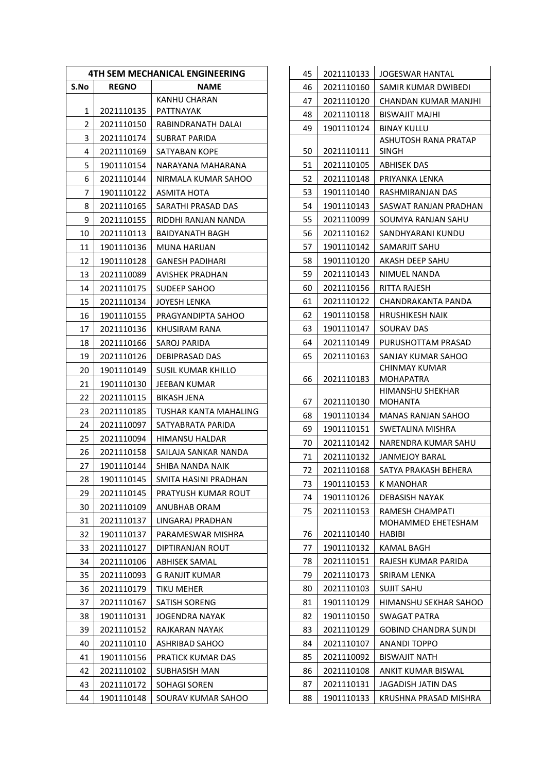| <b>4TH SEM MECHANICAL ENGINEERING</b> |              |                       |
|---------------------------------------|--------------|-----------------------|
| S.No                                  | <b>REGNO</b> | NAME                  |
|                                       |              | KANHU CHARAN          |
| 1                                     | 2021110135   | PATTNAYAK             |
| 2                                     | 2021110150   | RABINDRANATH DALAI    |
| 3                                     | 2021110174   | SUBRAT PARIDA         |
| 4                                     | 2021110169   | SATYABAN KOPE         |
| 5                                     | 1901110154   | NARAYANA MAHARANA     |
| 6                                     | 2021110144   | NIRMALA KUMAR SAHOO   |
| 7                                     | 1901110122   | ASMITA HOTA           |
| 8                                     | 2021110165   | SARATHI PRASAD DAS    |
| 9                                     | 2021110155   | RIDDHI RANJAN NANDA   |
| 10                                    | 2021110113   | BAIDYANATH BAGH       |
| 11                                    | 1901110136   | MUNA HARIJAN          |
| 12                                    | 1901110128   | GANESH PADIHARI       |
| 13                                    | 2021110089   | AVISHEK PRADHAN       |
| 14                                    | 2021110175   | SUDEEP SAHOO          |
| 15                                    | 2021110134   | JOYESH LENKA          |
| 16                                    | 1901110155   | PRAGYANDIPTA SAHOO    |
| 17                                    | 2021110136   | KHUSIRAM RANA         |
| 18                                    | 2021110166   | SAROJ PARIDA          |
| 19                                    | 2021110126   | <b>DEBIPRASAD DAS</b> |
| 20                                    | 1901110149   | SUSIL KUMAR KHILLO    |
| 21                                    | 1901110130   | JEEBAN KUMAR          |
| 22                                    | 2021110115   | BIKASH JENA           |
| 23                                    | 2021110185   | TUSHAR KANTA MAHALING |
| 24                                    | 2021110097   | SATYABRATA PARIDA     |
| 25                                    | 2021110094   | HIMANSU HALDAR        |
| 26                                    | 2021110158   | SAILAJA SANKAR NANDA  |
| 27                                    | 1901110144   | SHIBA NANDA NAIK      |
| 28                                    | 1901110145   | SMITA HASINI PRADHAN  |
| 29                                    | 2021110145   | PRATYUSH KUMAR ROUT   |
| 30                                    | 2021110109   | ANUBHAB ORAM          |
| 31                                    | 2021110137   | LINGARAJ PRADHAN      |
| 32                                    | 1901110137   | PARAMESWAR MISHRA     |
| 33                                    | 2021110127   | DIPTIRANJAN ROUT      |
| 34                                    | 2021110106   | ABHISEK SAMAL         |
| 35                                    | 2021110093   | G RANJIT KUMAR        |
| 36                                    | 2021110179   | TIKU MEHER            |
| 37                                    | 2021110167   | SATISH SORENG         |
| 38                                    | 1901110131   | JOGENDRA NAYAK        |
| 39                                    | 2021110152   | RAJKARAN NAYAK        |
| 40                                    | 2021110110   | ASHRIBAD SAHOO        |
| 41                                    | 1901110156   | PRATICK KUMAR DAS     |
| 42                                    | 2021110102   | SUBHASISH MAN         |
| 43                                    | 2021110172   | SOHAGI SOREN          |
| 44                                    | 1901110148   | SOURAV KUMAR SAHOO    |